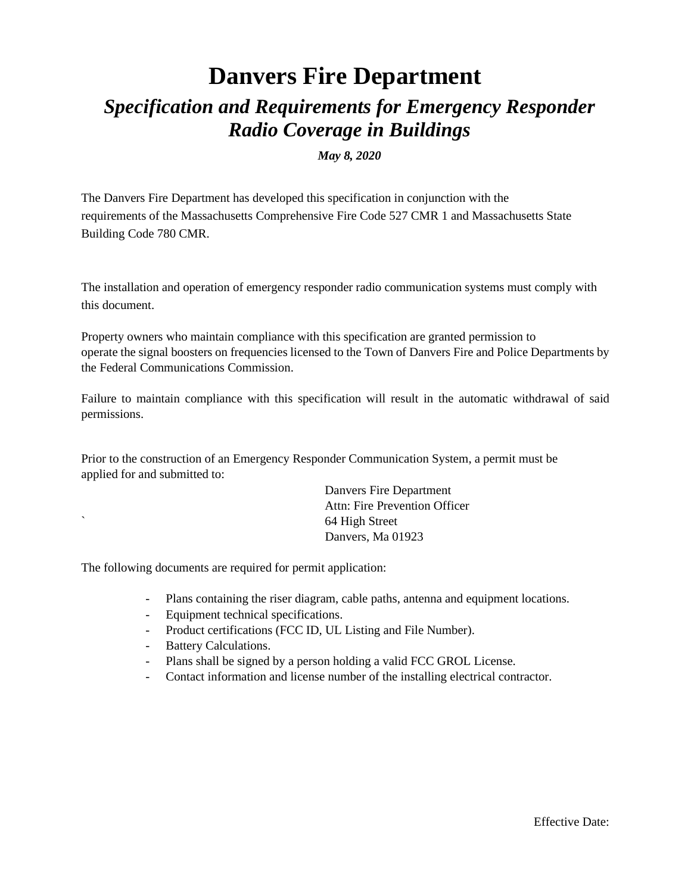# **Danvers Fire Department**

## *Specification and Requirements for Emergency Responder Radio Coverage in Buildings*

## *May 8, 2020*

The Danvers Fire Department has developed this specification in conjunction with the requirements of the Massachusetts Comprehensive Fire Code 527 CMR 1 and Massachusetts State Building Code 780 CMR.

The installation and operation of emergency responder radio communication systems must comply with this document.

Property owners who maintain compliance with this specification are granted permission to operate the signal boosters on frequencies licensed to the Town of Danvers Fire and Police Departments by the Federal Communications Commission.

Failure to maintain compliance with this specification will result in the automatic withdrawal of said permissions.

Prior to the construction of an Emergency Responder Communication System, a permit must be applied for and submitted to:

> Danvers Fire Department Attn: Fire Prevention Officer ` 64 High Street Danvers, Ma 01923

The following documents are required for permit application:

- Plans containing the riser diagram, cable paths, antenna and equipment locations.
- Equipment technical specifications.
- Product certifications (FCC ID, UL Listing and File Number).
- Battery Calculations.
- Plans shall be signed by a person holding a valid FCC GROL License.
- Contact information and license number of the installing electrical contractor.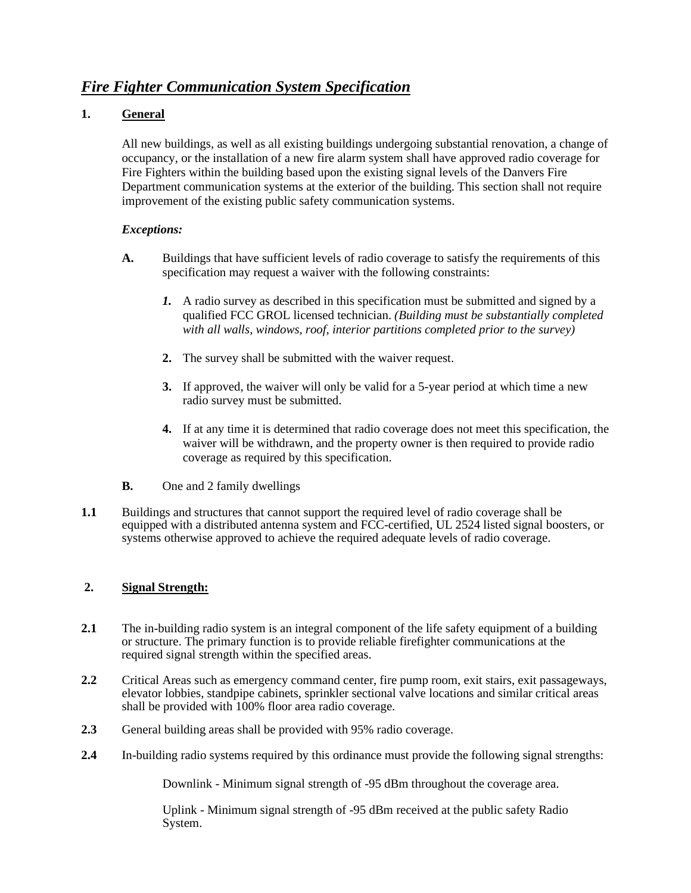## *Fire Fighter Communication System Specification*

## **1. General**

All new buildings, as well as all existing buildings undergoing substantial renovation, a change of occupancy, or the installation of a new fire alarm system shall have approved radio coverage for Fire Fighters within the building based upon the existing signal levels of the Danvers Fire Department communication systems at the exterior of the building. This section shall not require improvement of the existing public safety communication systems.

## *Exceptions:*

- **A.** Buildings that have sufficient levels of radio coverage to satisfy the requirements of this specification may request a waiver with the following constraints:
	- *1.* A radio survey as described in this specification must be submitted and signed by a qualified FCC GROL licensed technician. *(Building must be substantially completed with all walls, windows, roof, interior partitions completed prior to the survey)*
	- **2.** The survey shall be submitted with the waiver request.
	- **3.** If approved, the waiver will only be valid for a 5-year period at which time a new radio survey must be submitted.
	- **4.** If at any time it is determined that radio coverage does not meet this specification, the waiver will be withdrawn, and the property owner is then required to provide radio coverage as required by this specification.
- **B.** One and 2 family dwellings
- **1.1** Buildings and structures that cannot support the required level of radio coverage shall be equipped with a distributed antenna system and FCC-certified, UL 2524 listed signal boosters, or systems otherwise approved to achieve the required adequate levels of radio coverage.

## **2. Signal Strength:**

- **2.1** The in-building radio system is an integral component of the life safety equipment of a building or structure. The primary function is to provide reliable firefighter communications at the required signal strength within the specified areas.
- **2.2** Critical Areas such as emergency command center, fire pump room, exit stairs, exit passageways, elevator lobbies, standpipe cabinets, sprinkler sectional valve locations and similar critical areas shall be provided with  $100\%$  floor area radio coverage.
- **2.3** General building areas shall be provided with 95% radio coverage.
- **2.4** In-building radio systems required by this ordinance must provide the following signal strengths:

Downlink - Minimum signal strength of -95 dBm throughout the coverage area.

Uplink - Minimum signal strength of -95 dBm received at the public safety Radio System.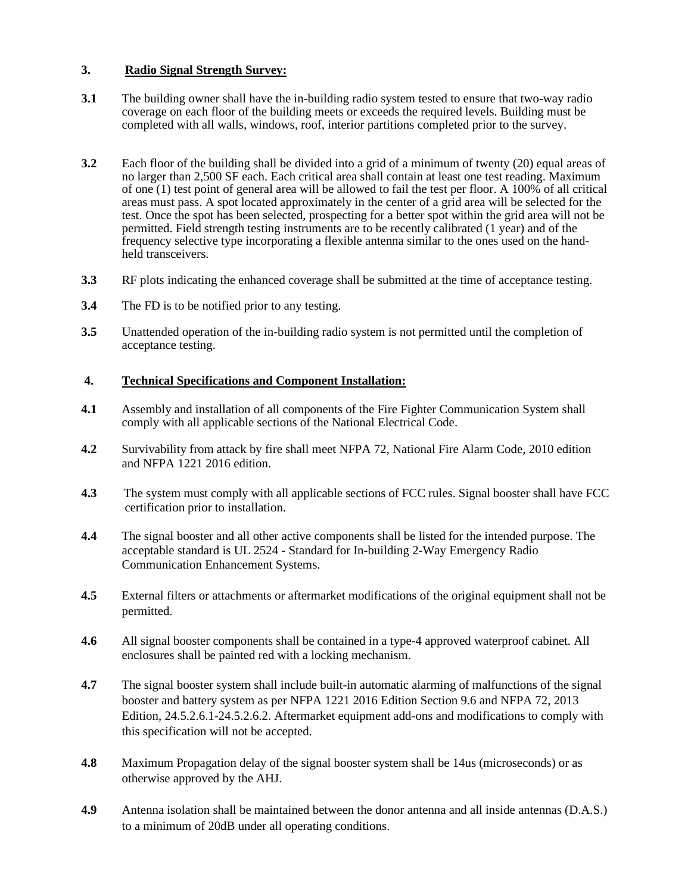## **3. Radio Signal Strength Survey:**

- **3.1** The building owner shall have the in-building radio system tested to ensure that two-way radio coverage on each floor of the building meets or exceeds the required levels. Building must be completed with all walls, windows, roof, interior partitions completed prior to the survey.
- **3.2** Each floor of the building shall be divided into a grid of a minimum of twenty (20) equal areas of no larger than 2,500 SF each. Each critical area shall contain at least one test reading. Maximum of one (1) test point of general area will be allowed to fail the test per floor. A 100% of all critical areas must pass. A spot located approximately in the center of a grid area will be selected for the test. Once the spot has been selected, prospecting for a better spot within the grid area will not be permitted. Field strength testing instruments are to be recently calibrated (1 year) and of the frequency selective type incorporating a flexible antenna similar to the ones used on the handheld transceivers.
- **3.3** RF plots indicating the enhanced coverage shall be submitted at the time of acceptance testing.
- **3.4** The FD is to be notified prior to any testing.
- **3.5** Unattended operation of the in-building radio system is not permitted until the completion of acceptance testing.

## **4. Technical Specifications and Component Installation:**

- **4.1** Assembly and installation of all components of the Fire Fighter Communication System shall comply with all applicable sections of the National Electrical Code.
- **4.2** Survivability from attack by fire shall meet NFPA 72, National Fire Alarm Code, 2010 edition and NFPA 1221 2016 edition.
- **4.3** The system must comply with all applicable sections of FCC rules. Signal booster shall have FCC certification prior to installation.
- **4.4** The signal booster and all other active components shall be listed for the intended purpose. The acceptable standard is UL 2524 - Standard for In-building 2-Way Emergency Radio Communication Enhancement Systems.
- **4.5** External filters or attachments or aftermarket modifications of the original equipment shall not be permitted.
- **4.6** All signal booster components shall be contained in a type-4 approved waterproof cabinet. All enclosures shall be painted red with a locking mechanism.
- **4.7** The signal booster system shall include built-in automatic alarming of malfunctions of the signal booster and battery system as per NFPA 1221 2016 Edition Section 9.6 and NFPA 72, 2013 Edition, 24.5.2.6.1-24.5.2.6.2. Aftermarket equipment add-ons and modifications to comply with this specification will not be accepted.
- **4.8** Maximum Propagation delay of the signal booster system shall be 14us (microseconds) or as otherwise approved by the AHJ.
- **4.9** Antenna isolation shall be maintained between the donor antenna and all inside antennas (D.A.S.) to a minimum of 20dB under all operating conditions.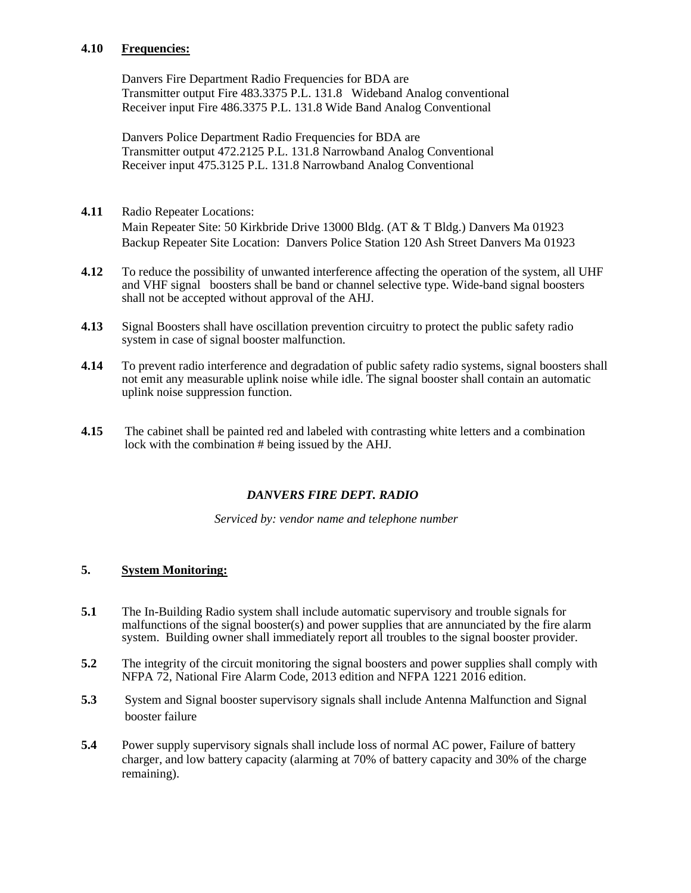#### **4.10 Frequencies:**

 Danvers Fire Department Radio Frequencies for BDA are Transmitter output Fire 483.3375 P.L. 131.8 Wideband Analog conventional Receiver input Fire 486.3375 P.L. 131.8 Wide Band Analog Conventional

Danvers Police Department Radio Frequencies for BDA are Transmitter output 472.2125 P.L. 131.8 Narrowband Analog Conventional Receiver input 475.3125 P.L. 131.8 Narrowband Analog Conventional

- **4.11** Radio Repeater Locations: Main Repeater Site: 50 Kirkbride Drive 13000 Bldg. (AT & T Bldg.) Danvers Ma 01923 Backup Repeater Site Location: Danvers Police Station 120 Ash Street Danvers Ma 01923
- **4.12** To reduce the possibility of unwanted interference affecting the operation of the system, all UHF and VHF signal boosters shall be band or channel selective type. Wide-band signal boosters shall not be accepted without approval of the AHJ.
- **4.13** Signal Boosters shall have oscillation prevention circuitry to protect the public safety radio system in case of signal booster malfunction.
- **4.14** To prevent radio interference and degradation of public safety radio systems, signal boosters shall not emit any measurable uplink noise while idle. The signal booster shall contain an automatic uplink noise suppression function.
- **4.15** The cabinet shall be painted red and labeled with contrasting white letters and a combination lock with the combination # being issued by the AHJ.

#### *DANVERS FIRE DEPT. RADIO*

 *Serviced by: vendor name and telephone number* 

## **5. System Monitoring:**

- **5.1** The In-Building Radio system shall include automatic supervisory and trouble signals for malfunctions of the signal booster(s) and power supplies that are annunciated by the fire alarm system. Building owner shall immediately report all troubles to the signal booster provider.
- **5.2** The integrity of the circuit monitoring the signal boosters and power supplies shall comply with NFPA 72, National Fire Alarm Code, 2013 edition and NFPA 1221 2016 edition.
- **5.3** System and Signal booster supervisory signals shall include Antenna Malfunction and Signal booster failure
- **5.4** Power supply supervisory signals shall include loss of normal AC power, Failure of battery charger, and low battery capacity (alarming at 70% of battery capacity and 30% of the charge remaining).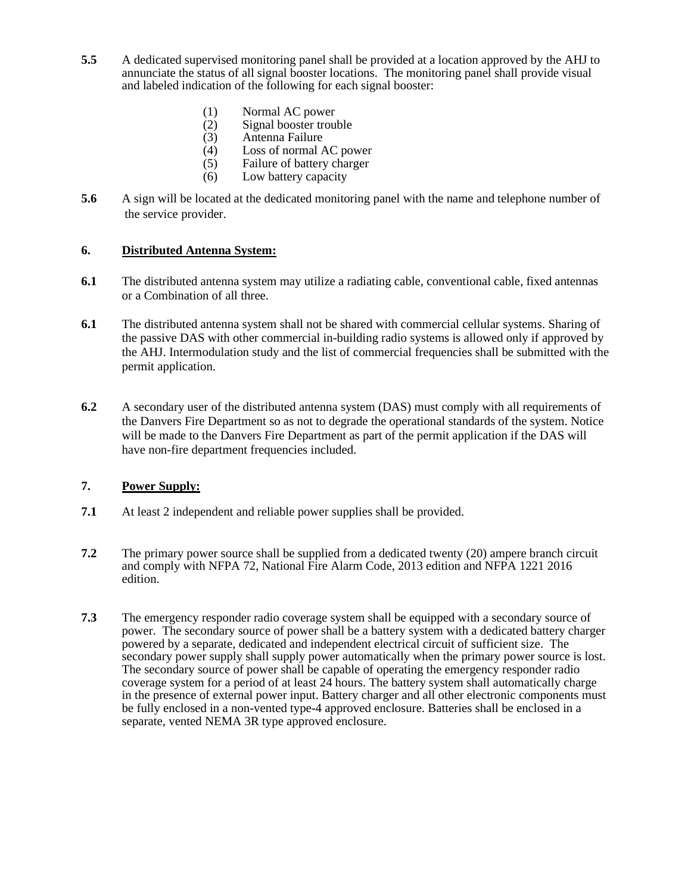- **5.5** A dedicated supervised monitoring panel shall be provided at a location approved by the AHJ to annunciate the status of all signal booster locations. The monitoring panel shall provide visual and labeled indication of the following for each signal booster:
	- (1) Normal AC power<br>(2) Signal booster trou
	- (2) Signal booster trouble<br>(3) Antenna Failure
	- (3) Antenna Failure<br>(4) Loss of normal  $\angle$
	- Loss of normal AC power
	- (5) Failure of battery charger
	- (6) Low battery capacity
- **5.6** A sign will be located at the dedicated monitoring panel with the name and telephone number of the service provider.

## **6. Distributed Antenna System:**

- **6.1** The distributed antenna system may utilize a radiating cable, conventional cable, fixed antennas or a Combination of all three.
- **6.1** The distributed antenna system shall not be shared with commercial cellular systems. Sharing of the passive DAS with other commercial in-building radio systems is allowed only if approved by the AHJ. Intermodulation study and the list of commercial frequencies shall be submitted with the permit application.
- **6.2** A secondary user of the distributed antenna system (DAS) must comply with all requirements of the Danvers Fire Department so as not to degrade the operational standards of the system. Notice will be made to the Danvers Fire Department as part of the permit application if the DAS will have non-fire department frequencies included.

### **7. Power Supply:**

- **7.1** At least 2 independent and reliable power supplies shall be provided.
- **7.2** The primary power source shall be supplied from a dedicated twenty (20) ampere branch circuit and comply with NFPA 72, National Fire Alarm Code, 2013 edition and NFPA 1221 2016 edition.
- **7.3** The emergency responder radio coverage system shall be equipped with a secondary source of power. The secondary source of power shall be a battery system with a dedicated battery charger powered by a separate, dedicated and independent electrical circuit of sufficient size. The secondary power supply shall supply power automatically when the primary power source is lost. The secondary source of power shall be capable of operating the emergency responder radio coverage system for a period of at least 24 hours. The battery system shall automatically charge in the presence of external power input. Battery charger and all other electronic components must be fully enclosed in a non-vented type-4 approved enclosure. Batteries shall be enclosed in a separate, vented NEMA 3R type approved enclosure.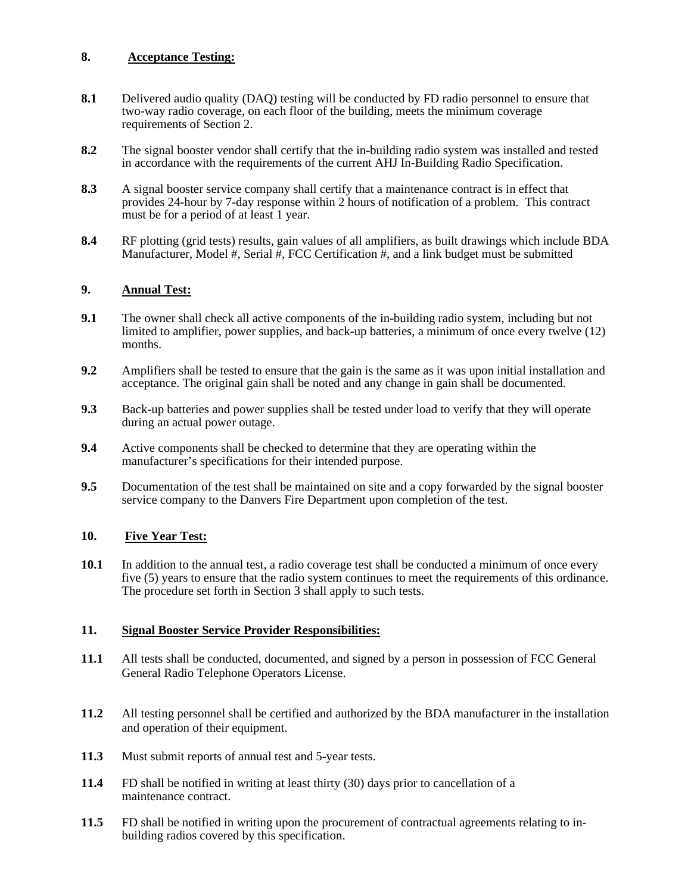## **8. Acceptance Testing:**

- **8.1** Delivered audio quality (DAQ) testing will be conducted by FD radio personnel to ensure that two-way radio coverage, on each floor of the building, meets the minimum coverage requirements of Section 2.
- **8.2** The signal booster vendor shall certify that the in-building radio system was installed and tested in accordance with the requirements of the current AHJ In-Building Radio Specification.
- **8.3** A signal booster service company shall certify that a maintenance contract is in effect that provides 24-hour by 7-day response within 2 hours of notification of a problem. This contract must be for a period of at least 1 year.
- **8.4** RF plotting (grid tests) results, gain values of all amplifiers, as built drawings which include BDA Manufacturer, Model #, Serial  $#$ , FCC Certification  $#$ , and a link budget must be submitted

#### **9. Annual Test:**

- **9.1** The owner shall check all active components of the in-building radio system, including but not limited to amplifier, power supplies, and back-up batteries, a minimum of once every twelve (12) months.
- **9.2** Amplifiers shall be tested to ensure that the gain is the same as it was upon initial installation and acceptance. The original gain shall be noted and any change in gain shall be documented.
- **9.3** Back-up batteries and power supplies shall be tested under load to verify that they will operate during an actual power outage.
- **9.4** Active components shall be checked to determine that they are operating within the manufacturer's specifications for their intended purpose.
- **9.5** Documentation of the test shall be maintained on site and a copy forwarded by the signal booster service company to the Danvers Fire Department upon completion of the test.

#### **10. Five Year Test:**

**10.1** In addition to the annual test, a radio coverage test shall be conducted a minimum of once every five (5) years to ensure that the radio system continues to meet the requirements of this ordinance. The procedure set forth in Section 3 shall apply to such tests.

#### **11. Signal Booster Service Provider Responsibilities:**

- **11.1** All tests shall be conducted, documented, and signed by a person in possession of FCC General General Radio Telephone Operators License.
- **11.2** All testing personnel shall be certified and authorized by the BDA manufacturer in the installation and operation of their equipment.
- **11.3** Must submit reports of annual test and 5-year tests.
- **11.4** FD shall be notified in writing at least thirty (30) days prior to cancellation of a maintenance contract.
- **11.5** FD shall be notified in writing upon the procurement of contractual agreements relating to inbuilding radios covered by this specification.